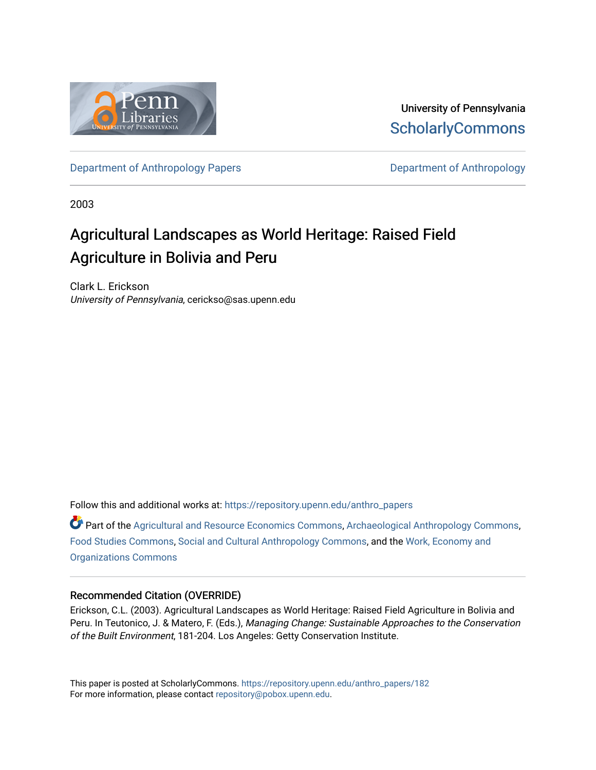

University of Pennsylvania **ScholarlyCommons** 

[Department of Anthropology Papers](https://repository.upenn.edu/anthro_papers) **Department of Anthropology** 

2003

# Agricultural Landscapes as World Heritage: Raised Field Agriculture in Bolivia and Peru

Clark L. Erickson University of Pennsylvania, cerickso@sas.upenn.edu

Follow this and additional works at: [https://repository.upenn.edu/anthro\\_papers](https://repository.upenn.edu/anthro_papers?utm_source=repository.upenn.edu%2Fanthro_papers%2F182&utm_medium=PDF&utm_campaign=PDFCoverPages)

Part of the [Agricultural and Resource Economics Commons,](http://network.bepress.com/hgg/discipline/317?utm_source=repository.upenn.edu%2Fanthro_papers%2F182&utm_medium=PDF&utm_campaign=PDFCoverPages) [Archaeological Anthropology Commons](http://network.bepress.com/hgg/discipline/319?utm_source=repository.upenn.edu%2Fanthro_papers%2F182&utm_medium=PDF&utm_campaign=PDFCoverPages), [Food Studies Commons,](http://network.bepress.com/hgg/discipline/1386?utm_source=repository.upenn.edu%2Fanthro_papers%2F182&utm_medium=PDF&utm_campaign=PDFCoverPages) [Social and Cultural Anthropology Commons,](http://network.bepress.com/hgg/discipline/323?utm_source=repository.upenn.edu%2Fanthro_papers%2F182&utm_medium=PDF&utm_campaign=PDFCoverPages) and the [Work, Economy and](http://network.bepress.com/hgg/discipline/433?utm_source=repository.upenn.edu%2Fanthro_papers%2F182&utm_medium=PDF&utm_campaign=PDFCoverPages)  [Organizations Commons](http://network.bepress.com/hgg/discipline/433?utm_source=repository.upenn.edu%2Fanthro_papers%2F182&utm_medium=PDF&utm_campaign=PDFCoverPages)

## Recommended Citation (OVERRIDE)

Erickson, C.L. (2003). Agricultural Landscapes as World Heritage: Raised Field Agriculture in Bolivia and Peru. In Teutonico, J. & Matero, F. (Eds.), Managing Change: Sustainable Approaches to the Conservation of the Built Environment, 181-204. Los Angeles: Getty Conservation Institute.

This paper is posted at ScholarlyCommons. [https://repository.upenn.edu/anthro\\_papers/182](https://repository.upenn.edu/anthro_papers/182) For more information, please contact [repository@pobox.upenn.edu.](mailto:repository@pobox.upenn.edu)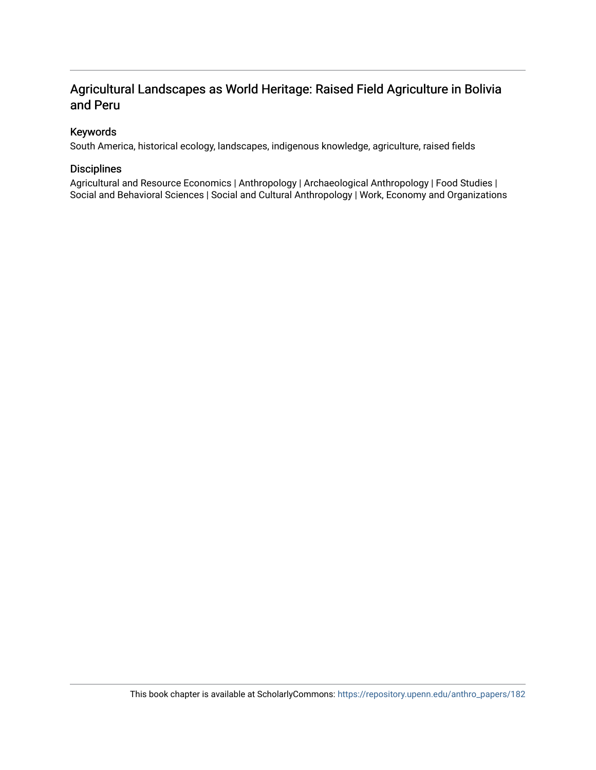## Agricultural Landscapes as World Heritage: Raised Field Agriculture in Bolivia and Peru

## Keywords

South America, historical ecology, landscapes, indigenous knowledge, agriculture, raised fields

## Disciplines

Agricultural and Resource Economics | Anthropology | Archaeological Anthropology | Food Studies | Social and Behavioral Sciences | Social and Cultural Anthropology | Work, Economy and Organizations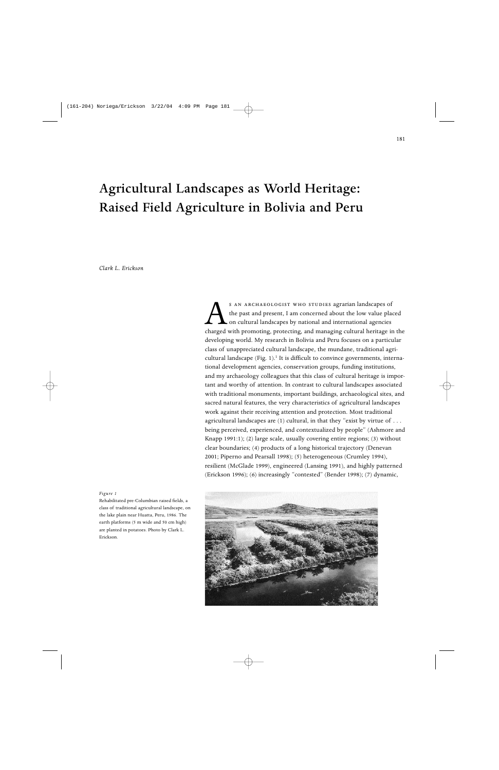# Agricultural Landscapes as World Heritage: Raised Field Agriculture in Bolivia and Peru

*Clark L. Erickson*

S AN ARCHAEOLOGIST WHO STUDIES agrarian landscapes of the past and present, I am concerned about the low value placed on cultural landscapes by national and international agencies charged with promoting, protecting, and ma the past and present, I am concerned about the low value placed on cultural landscapes by national and international agencies developing world. My research in Bolivia and Peru focuses on a particular class of unappreciated cultural landscape, the mundane, traditional agricultural landscape  $(Fig. 1)$ .<sup>1</sup> It is difficult to convince governments, international development agencies, conservation groups, funding institutions, and my archaeology colleagues that this class of cultural heritage is important and worthy of attention. In contrast to cultural landscapes associated with traditional monuments, important buildings, archaeological sites, and sacred natural features, the very characteristics of agricultural landscapes work against their receiving attention and protection. Most traditional agricultural landscapes are (1) cultural, in that they "exist by virtue of . . . being perceived, experienced, and contextualized by people" (Ashmore and Knapp 1991:1); (2) large scale, usually covering entire regions; (3) without clear boundaries; (4) products of a long historical trajectory (Denevan 2001; Piperno and Pearsall 1998); (5) heterogeneous (Crumley 1994), resilient (McGlade 1999), engineered (Lansing 1991), and highly patterned (Erickson 1996); (6) increasingly "contested" (Bender 1998); (7) dynamic,

#### *Figure 1*

Rehabilitated pre-Columbian raised fields, a class of traditional agricultural landscape, on the lake plain near Huatta, Peru, 1986. The earth platforms (5 m wide and 50 cm high) are planted in potatoes. Photo by Clark L. Erickson.

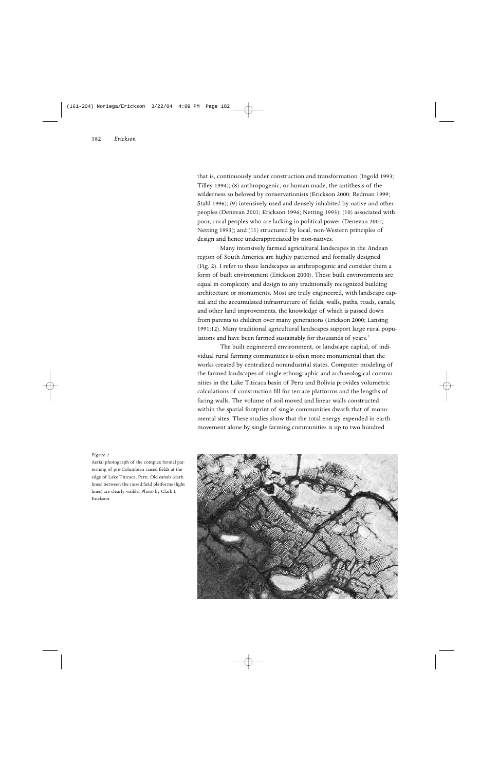that is, continuously under construction and transformation (Ingold 1993; Tilley 1994); (8) anthropogenic, or human made, the antithesis of the wilderness so beloved by conservationists (Erickson 2000; Redman 1999; Stahl 1996); (9) intensively used and densely inhabited by native and other peoples (Denevan 2001; Erickson 1996; Netting 1993); (10) associated with poor, rural peoples who are lacking in political power (Denevan 2001; Netting 1993); and (11) structured by local, non-Western principles of design and hence underappreciated by non-natives.

Many intensively farmed agricultural landscapes in the Andean region of South America are highly patterned and formally designed (Fig. 2). I refer to these landscapes as anthropogenic and consider them a form of built environment (Erickson 2000). These built environments are equal in complexity and design to any traditionally recognized building architecture or monuments. Most are truly engineered, with landscape capital and the accumulated infrastructure of fields, walls, paths, roads, canals, and other land improvements, the knowledge of which is passed down from parents to children over many generations (Erickson 2000; Lansing 1991:12). Many traditional agricultural landscapes support large rural populations and have been farmed sustainably for thousands of years.<sup>2</sup>

The built engineered environment, or landscape capital, of individual rural farming communities is often more monumental than the works created by centralized nonindustrial states. Computer modeling of the farmed landscapes of single ethnographic and archaeological communities in the Lake Titicaca basin of Peru and Bolivia provides volumetric calculations of construction fill for terrace platforms and the lengths of facing walls. The volume of soil moved and linear walls constructed within the spatial footprint of single communities dwarfs that of monumental sites. These studies show that the total energy expended in earth movement alone by single farming communities is up to two hundred



Aerial photograph of the complex formal patterning of pre-Columbian raised fields at the edge of Lake Titicaca, Peru. Old canals (dark lines) between the raised field platforms (light lines) are clearly visible. Photo by Clark L. Erickson.

*Figure 2*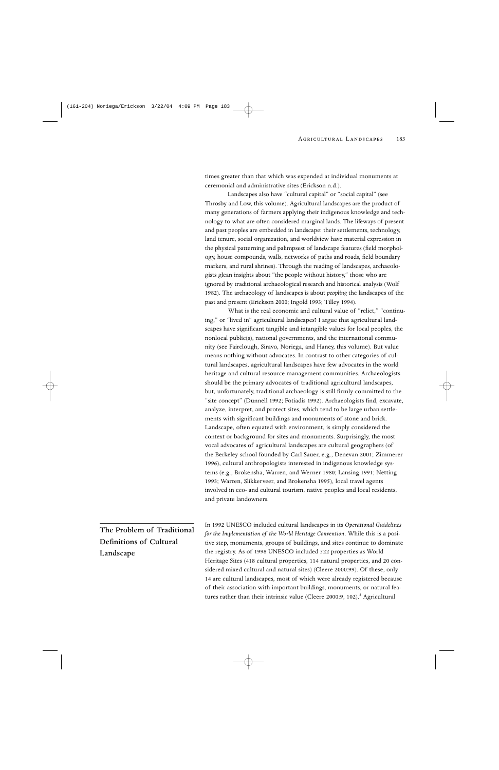times greater than that which was expended at individual monuments at ceremonial and administrative sites (Erickson n.d.).

Landscapes also have "cultural capital" or "social capital" (see Throsby and Low, this volume). Agricultural landscapes are the product of many generations of farmers applying their indigenous knowledge and technology to what are often considered marginal lands. The lifeways of present and past peoples are embedded in landscape: their settlements, technology, land tenure, social organization, and worldview have material expression in the physical patterning and palimpsest of landscape features (field morphology, house compounds, walls, networks of paths and roads, field boundary markers, and rural shrines). Through the reading of landscapes, archaeologists glean insights about "the people without history," those who are ignored by traditional archaeological research and historical analysis (Wolf 1982). The archaeology of landscapes is about *peopling* the landscapes of the past and present (Erickson 2000; Ingold 1993; Tilley 1994).

What is the real economic and cultural value of "relict," "continuing," or "lived in" agricultural landscapes? I argue that agricultural landscapes have significant tangible and intangible values for local peoples, the nonlocal public(s), national governments, and the international community (see Fairclough, Siravo, Noriega, and Haney, this volume). But value means nothing without advocates. In contrast to other categories of cultural landscapes, agricultural landscapes have few advocates in the world heritage and cultural resource management communities. Archaeologists should be the primary advocates of traditional agricultural landscapes, but, unfortunately, traditional archaeology is still firmly committed to the "site concept" (Dunnell 1992; Fotiadis 1992). Archaeologists find, excavate, analyze, interpret, and protect sites, which tend to be large urban settlements with significant buildings and monuments of stone and brick. Landscape, often equated with environment, is simply considered the context or background for sites and monuments. Surprisingly, the most vocal advocates of agricultural landscapes are cultural geographers (of the Berkeley school founded by Carl Sauer, e.g., Denevan 2001; Zimmerer 1996), cultural anthropologists interested in indigenous knowledge systems (e.g., Brokensha, Warren, and Werner 1980; Lansing 1991; Netting 1993; Warren, Slikkerveer, and Brokensha 1995), local travel agents involved in eco- and cultural tourism, native peoples and local residents, and private landowners.

The Problem of Traditional Definitions of Cultural Landscape

In 1992 UNESCO included cultural landscapes in its *Operational Guidelines for the Implementation of the World Heritage Convention*. While this is a positive step, monuments, groups of buildings, and sites continue to dominate the registry. As of 1998 UNESCO included 522 properties as World Heritage Sites (418 cultural properties, 114 natural properties, and 20 considered mixed cultural and natural sites) (Cleere 2000:99). Of these, only 14 are cultural landscapes, most of which were already registered because of their association with important buildings, monuments, or natural features rather than their intrinsic value (Cleere 2000:9, 102).<sup>3</sup> Agricultural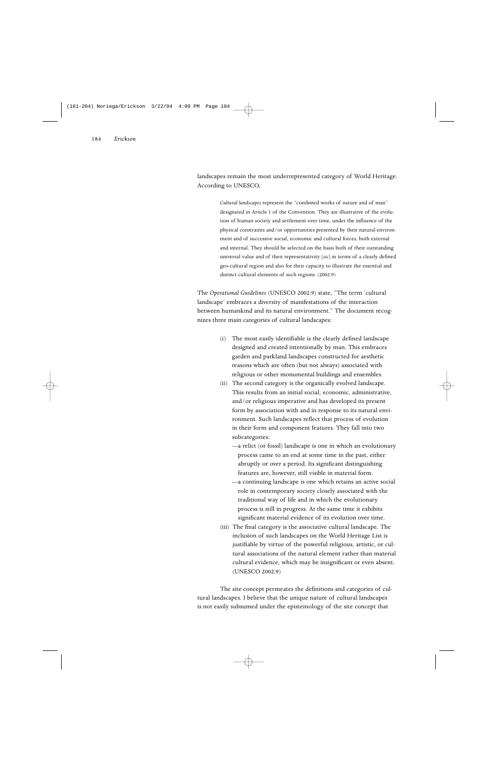landscapes remain the most underrepresented category of World Heritage. According to UNESCO,

> *Cultural landscapes* represent the "combined works of nature and of man" designated in Article 1 of the Convention. They are illustrative of the evolution of human society and settlement over time, under the influence of the physical constraints and/or opportunities presented by their natural environment and of successive social, economic and cultural forces, both external and internal. They should be selected on the basis both of their outstanding universal value and of their representativity [*sic*] in terms of a clearly defined geo-cultural region and also for their capacity to illustrate the essential and distinct cultural elements of such regions. (2002:9)

The *Operational Guidelines* (UNESCO 2002:9) state, "The term 'cultural landscape' embraces a diversity of manifestations of the interaction between humankind and its natural environment." The document recognizes three main categories of cultural landscapes:

- (i) The most easily identifiable is the clearly defined landscape designed and created intentionally by man. This embraces garden and parkland landscapes constructed for aesthetic reasons which are often (but not always) associated with religious or other monumental buildings and ensembles.
- (ii) The second category is the organically evolved landscape. This results from an initial social, economic, administrative, and/or religious imperative and has developed its present form by association with and in response to its natural environment. Such landscapes reflect that process of evolution in their form and component features. They fall into two subcategories:
	- —a relict (or fossil) landscape is one in which an evolutionary process came to an end at some time in the past, either abruptly or over a period. Its significant distinguishing features are, however, still visible in material form.
	- —a continuing landscape is one which retains an active social role in contemporary society closely associated with the traditional way of life and in which the evolutionary process is still in progress. At the same time it exhibits significant material evidence of its evolution over time.
- (iii) The final category is the associative cultural landscape. The inclusion of such landscapes on the World Heritage List is justifiable by virtue of the powerful religious, artistic, or cultural associations of the natural element rather than material cultural evidence, which may be insignificant or even absent. (UNESCO 2002:9)

The site concept permeates the definitions and categories of cultural landscapes. I believe that the unique nature of cultural landscapes is not easily subsumed under the epistemology of the site concept that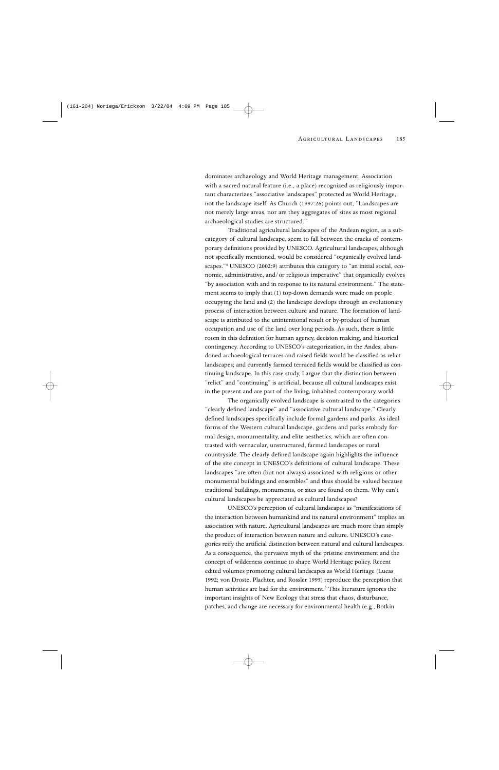dominates archaeology and World Heritage management. Association with a sacred natural feature (i.e., a place) recognized as religiously important characterizes "associative landscapes" protected as World Heritage, not the landscape itself. As Church (1997:26) points out, "Landscapes are not merely large areas, nor are they aggregates of sites as most regional archaeological studies are structured."

Traditional agricultural landscapes of the Andean region, as a subcategory of cultural landscape, seem to fall between the cracks of contemporary definitions provided by UNESCO. Agricultural landscapes, although not specifically mentioned, would be considered "organically evolved landscapes."4 UNESCO (2002:9) attributes this category to "an initial social, economic, administrative, and/or religious imperative" that organically evolves "by association with and in response to its natural environment." The statement seems to imply that (1) top-down demands were made on people occupying the land and (2) the landscape develops through an evolutionary process of interaction between culture and nature. The formation of landscape is attributed to the unintentional result or by-product of human occupation and use of the land over long periods. As such, there is little room in this definition for human agency, decision making, and historical contingency. According to UNESCO's categorization, in the Andes, abandoned archaeological terraces and raised fields would be classified as relict landscapes; and currently farmed terraced fields would be classified as continuing landscape. In this case study, I argue that the distinction between "relict" and "continuing" is artificial, because all cultural landscapes exist in the present and are part of the living, inhabited contemporary world.

The organically evolved landscape is contrasted to the categories "clearly defined landscape" and "associative cultural landscape." Clearly defined landscapes specifically include formal gardens and parks. As ideal forms of the Western cultural landscape, gardens and parks embody formal design, monumentality, and elite aesthetics, which are often contrasted with vernacular, unstructured, farmed landscapes or rural countryside. The clearly defined landscape again highlights the influence of the site concept in UNESCO's definitions of cultural landscape. These landscapes "are often (but not always) associated with religious or other monumental buildings and ensembles" and thus should be valued because traditional buildings, monuments, or sites are found on them. Why can't cultural landscapes be appreciated as cultural landscapes?

UNESCO's perception of cultural landscapes as "manifestations of the interaction between humankind and its natural environment" implies an association with nature. Agricultural landscapes are much more than simply the product of interaction between nature and culture. UNESCO's categories reify the artificial distinction between natural and cultural landscapes. As a consequence, the pervasive myth of the pristine environment and the concept of wilderness continue to shape World Heritage policy. Recent edited volumes promoting cultural landscapes as World Heritage (Lucas 1992; von Droste, Plachter, and Rossler 1995) reproduce the perception that human activities are bad for the environment.<sup>5</sup> This literature ignores the important insights of New Ecology that stress that chaos, disturbance, patches, and change are necessary for environmental health (e.g., Botkin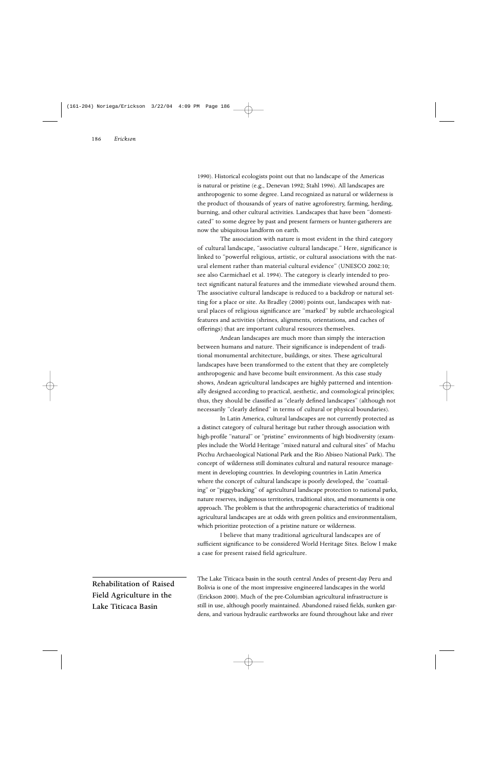1990). Historical ecologists point out that no landscape of the Americas is natural or pristine (e.g., Denevan 1992; Stahl 1996). All landscapes are anthropogenic to some degree. Land recognized as natural or wilderness is the product of thousands of years of native agroforestry, farming, herding, burning, and other cultural activities. Landscapes that have been "domesticated" to some degree by past and present farmers or hunter-gatherers are now the ubiquitous landform on earth.

The association with nature is most evident in the third category of cultural landscape, "associative cultural landscape." Here, significance is linked to "powerful religious, artistic, or cultural associations with the natural element rather than material cultural evidence" (UNESCO 2002:10; see also Carmichael et al. 1994). The category is clearly intended to protect significant natural features and the immediate viewshed around them. The associative cultural landscape is reduced to a backdrop or natural setting for a place or site. As Bradley (2000) points out, landscapes with natural places of religious significance are "marked" by subtle archaeological features and activities (shrines, alignments, orientations, and caches of offerings) that are important cultural resources themselves.

Andean landscapes are much more than simply the interaction between humans and nature. Their significance is independent of traditional monumental architecture, buildings, or sites. These agricultural landscapes have been transformed to the extent that they are completely anthropogenic and have become built environment. As this case study shows, Andean agricultural landscapes are highly patterned and intentionally designed according to practical, aesthetic, and cosmological principles; thus, they should be classified as "clearly defined landscapes" (although not necessarily "clearly defined" in terms of cultural or physical boundaries).

In Latin America, cultural landscapes are not currently protected as a distinct category of cultural heritage but rather through association with high-profile "natural" or "pristine" environments of high biodiversity (examples include the World Heritage "mixed natural and cultural sites" of Machu Picchu Archaeological National Park and the Rio Abiseo National Park). The concept of wilderness still dominates cultural and natural resource management in developing countries. In developing countries in Latin America where the concept of cultural landscape is poorly developed, the "coattailing" or "piggybacking" of agricultural landscape protection to national parks, nature reserves, indigenous territories, traditional sites, and monuments is one approach. The problem is that the anthropogenic characteristics of traditional agricultural landscapes are at odds with green politics and environmentalism, which prioritize protection of a pristine nature or wilderness.

I believe that many traditional agricultural landscapes are of sufficient significance to be considered World Heritage Sites. Below I make a case for present raised field agriculture.

Rehabilitation of Raised Field Agriculture in the Lake Titicaca Basin

The Lake Titicaca basin in the south central Andes of present-day Peru and Bolivia is one of the most impressive engineered landscapes in the world (Erickson 2000). Much of the pre-Columbian agricultural infrastructure is still in use, although poorly maintained. Abandoned raised fields, sunken gardens, and various hydraulic earthworks are found throughout lake and river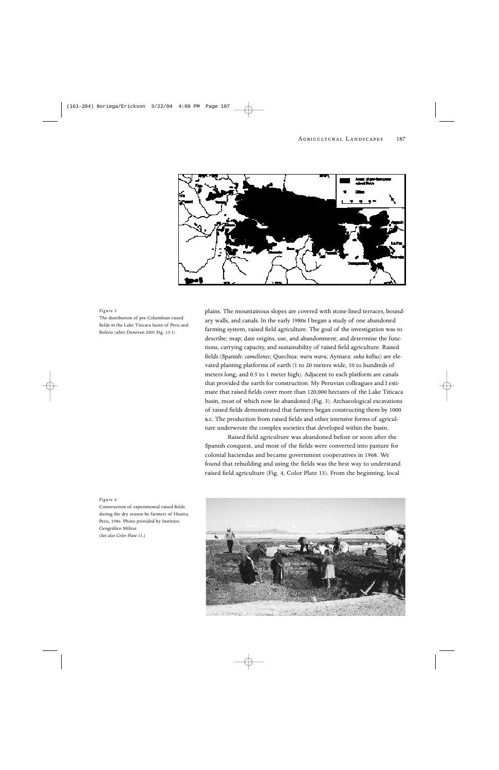

#### *Figure 3*

The distribution of pre-Columbian raised fields in the Lake Titicaca basin of Peru and Bolivia (after Denevan 2001:Fig. 13.1)

plains. The mountainous slopes are covered with stone-lined terraces, boundary walls, and canals. In the early 1980s I began a study of one abandoned farming system, raised field agriculture. The goal of the investigation was to describe; map; date origins, use, and abandonment; and determine the functions, carrying capacity, and sustainability of raised field agriculture. Raised fields (Spanish: *camellones*; Quechua: *waru waru*; Aymara: *suka kollus*) are elevated planting platforms of earth (1 to 20 meters wide, 10 to hundreds of meters long, and 0.5 to 1 meter high). Adjacent to each platform are canals that provided the earth for construction. My Peruvian colleagues and I estimate that raised fields cover more than 120,000 hectares of the Lake Titicaca basin, most of which now lie abandoned (Fig. 3). Archaeological excavations of raised fields demonstrated that farmers began constructing them by 1000 B.C. The production from raised fields and other intensive forms of agriculture underwrote the complex societies that developed within the basin.

Raised field agriculture was abandoned before or soon after the Spanish conquest, and most of the fields were converted into pasture for colonial haciendas and became government cooperatives in 1968. We found that rebuilding and using the fields was the best way to understand raised field agriculture (Fig. 4, Color Plate 13). From the beginning, local



#### *Figure 4*

Construction of experimental raised fields during the dry season by farmers of Huatta, Peru, 1986. Photo provided by Instituto Geográfico Militar. *(See also Color Plate 13.)*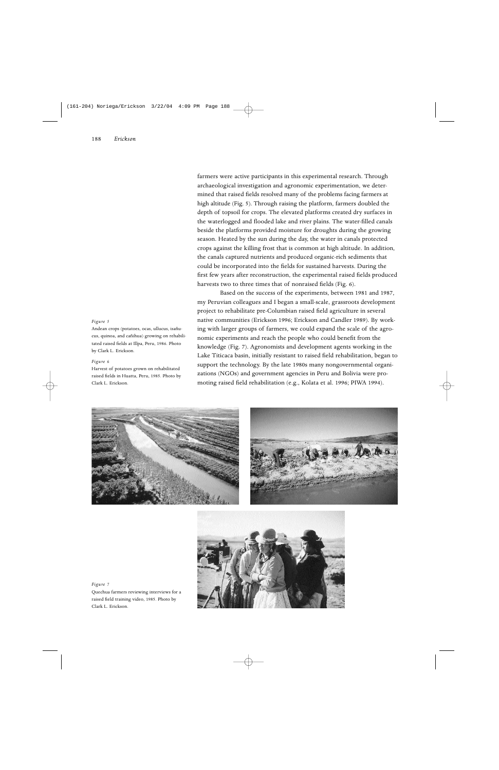#### *Figure 5*

Andean crops (potatoes, ocas, ullucus, isañucus, quinoa, and cañihua) growing on rehabilitated raised fields at Illpa, Peru, 1986. Photo by Clark L. Erickson.

#### *Figure 6*

Harvest of potatoes grown on rehabilitated raised fields in Huatta, Peru, 1985. Photo by Clark L. Erickson.

farmers were active participants in this experimental research. Through archaeological investigation and agronomic experimentation, we determined that raised fields resolved many of the problems facing farmers at high altitude (Fig. 5). Through raising the platform, farmers doubled the depth of topsoil for crops. The elevated platforms created dry surfaces in the waterlogged and flooded lake and river plains. The water-filled canals beside the platforms provided moisture for droughts during the growing season. Heated by the sun during the day, the water in canals protected crops against the killing frost that is common at high altitude. In addition, the canals captured nutrients and produced organic-rich sediments that could be incorporated into the fields for sustained harvests. During the first few years after reconstruction, the experimental raised fields produced harvests two to three times that of nonraised fields (Fig. 6).

Based on the success of the experiments, between 1981 and 1987, my Peruvian colleagues and I began a small-scale, grassroots development project to rehabilitate pre-Columbian raised field agriculture in several native communities (Erickson 1996; Erickson and Candler 1989). By working with larger groups of farmers, we could expand the scale of the agronomic experiments and reach the people who could benefit from the knowledge (Fig. 7). Agronomists and development agents working in the Lake Titicaca basin, initially resistant to raised field rehabilitation, began to support the technology. By the late 1980s many nongovernmental organizations (NGOs) and government agencies in Peru and Bolivia were promoting raised field rehabilitation (e.g., Kolata et al. 1996; PIWA 1994).







#### *Figure 7*

Quechua farmers reviewing interviews for a raised field training video, 1985. Photo by Clark L. Erickson.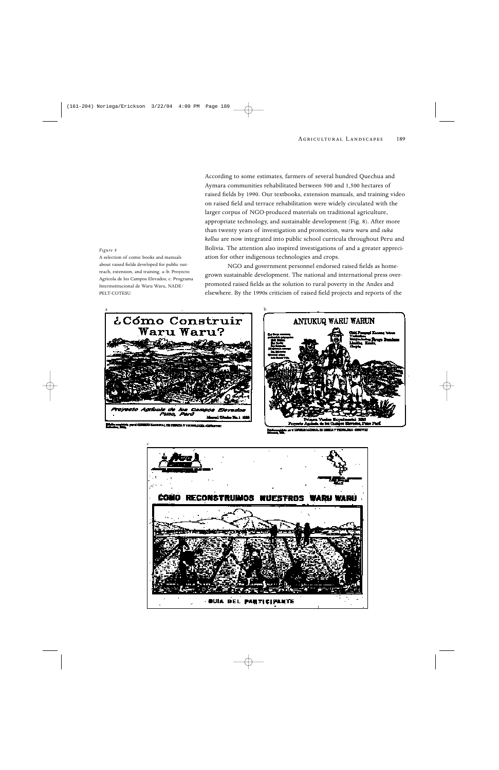According to some estimates, farmers of several hundred Quechua and Aymara communities rehabilitated between 500 and 1,500 hectares of raised fields by 1990. Our textbooks, extension manuals, and training video on raised field and terrace rehabilitation were widely circulated with the larger corpus of NGO-produced materials on traditional agriculture, appropriate technology, and sustainable development (Fig. 8). After more than twenty years of investigation and promotion, *waru waru* and *suka kollus* are now integrated into public school curricula throughout Peru and Bolivia. The attention also inspired investigations of and a greater appreciation for other indigenous technologies and crops.

NGO and government personnel endorsed raised fields as homegrown sustainable development. The national and international press overpromoted raised fields as the solution to rural poverty in the Andes and elsewhere. By the 1990s criticism of raised field projects and reports of the





COMO RECONSTRUMOS **WUESTROS WARU WARU** 

**BUIA BEL PARTICIPANTE** 

*Figure 8*

A selection of comic books and manuals about raised fields developed for public outreach, extension, and training. a–b: Proyecto Agrícola de los Campos Elevados; c: Programa Interinstitucional de Waru Waru, NADE/ PELT-COTESUL

c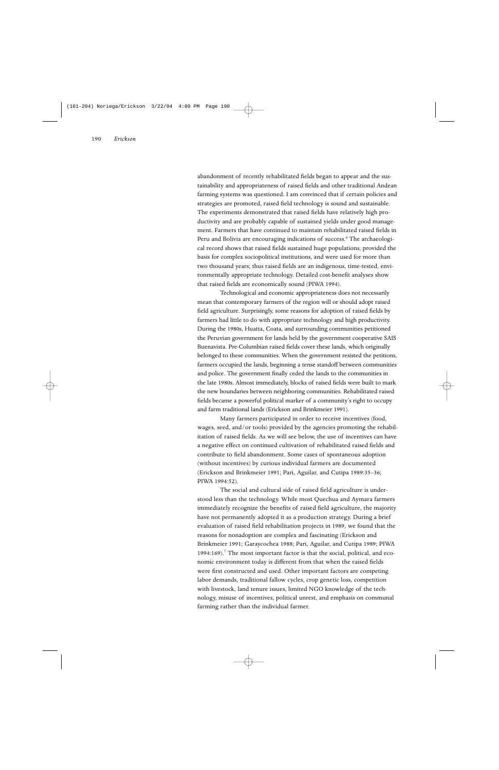abandonment of recently rehabilitated fields began to appear and the sustainability and appropriateness of raised fields and other traditional Andean farming systems was questioned. I am convinced that if certain policies and strategies are promoted, raised field technology is sound and sustainable. The experiments demonstrated that raised fields have relatively high productivity and are probably capable of sustained yields under good management. Farmers that have continued to maintain rehabilitated raised fields in Peru and Bolivia are encouraging indications of success.<sup>6</sup> The archaeological record shows that raised fields sustained huge populations, provided the basis for complex sociopolitical institutions, and were used for more than two thousand years; thus raised fields are an indigenous, time-tested, environmentally appropriate technology. Detailed cost-benefit analyses show that raised fields are economically sound (PIWA 1994).

Technological and economic appropriateness does not necessarily mean that contemporary farmers of the region will or should adopt raised field agriculture. Surprisingly, some reasons for adoption of raised fields by farmers had little to do with appropriate technology and high productivity. During the 1980s, Huatta, Coata, and surrounding communities petitioned the Peruvian government for lands held by the government cooperative SAIS Buenavista. Pre-Columbian raised fields cover these lands, which originally belonged to these communities. When the government resisted the petitions, farmers occupied the lands, beginning a tense standoff between communities and police. The government finally ceded the lands to the communities in the late 1980s. Almost immediately, blocks of raised fields were built to mark the new boundaries between neighboring communities. Rehabilitated raised fields became a powerful political marker of a community's right to occupy and farm traditional lands (Erickson and Brinkmeier 1991).

Many farmers participated in order to receive incentives (food, wages, seed, and/or tools) provided by the agencies promoting the rehabilitation of raised fields. As we will see below, the use of incentives can have a negative effect on continued cultivation of rehabilitated raised fields and contribute to field abandonment. Some cases of spontaneous adoption (without incentives) by curious individual farmers are documented (Erickson and Brinkmeier 1991; Pari, Aguilar, and Cutipa 1989:35–36; PIWA 1994:52).

The social and cultural side of raised field agriculture is understood less than the technology. While most Quechua and Aymara farmers immediately recognize the benefits of raised field agriculture, the majority have not permanently adopted it as a production strategy. During a brief evaluation of raised field rehabilitation projects in 1989, we found that the reasons for nonadoption are complex and fascinating (Erickson and Brinkmeier 1991; Garaycochea 1988; Pari, Aguilar, and Cutipa 1989; PIWA 1994:169).<sup>7</sup> The most important factor is that the social, political, and economic environment today is different from that when the raised fields were first constructed and used. Other important factors are competing labor demands, traditional fallow cycles, crop genetic loss, competition with livestock, land tenure issues, limited NGO knowledge of the technology, misuse of incentives, political unrest, and emphasis on communal farming rather than the individual farmer.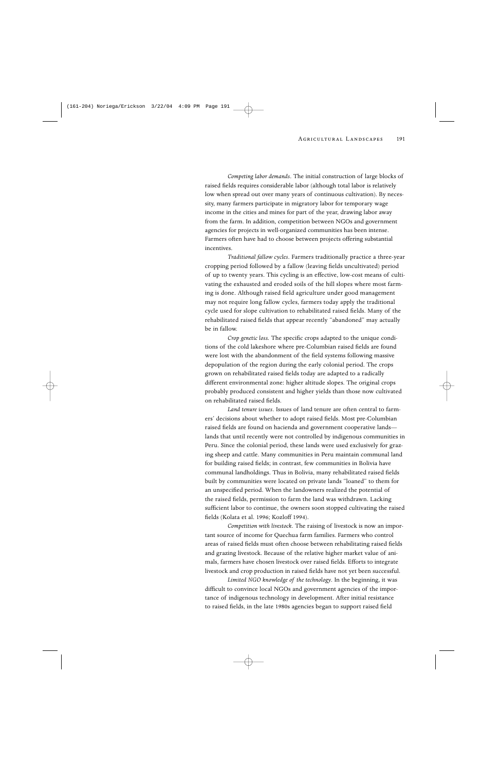*Competing labor demands*. The initial construction of large blocks of raised fields requires considerable labor (although total labor is relatively low when spread out over many years of continuous cultivation). By necessity, many farmers participate in migratory labor for temporary wage income in the cities and mines for part of the year, drawing labor away from the farm. In addition, competition between NGOs and government agencies for projects in well-organized communities has been intense. Farmers often have had to choose between projects offering substantial incentives.

*Traditional fallow cycles*. Farmers traditionally practice a three-year cropping period followed by a fallow (leaving fields uncultivated) period of up to twenty years. This cycling is an effective, low-cost means of cultivating the exhausted and eroded soils of the hill slopes where most farming is done. Although raised field agriculture under good management may not require long fallow cycles, farmers today apply the traditional cycle used for slope cultivation to rehabilitated raised fields. Many of the rehabilitated raised fields that appear recently "abandoned" may actually be in fallow.

*Crop genetic loss.* The specific crops adapted to the unique conditions of the cold lakeshore where pre-Columbian raised fields are found were lost with the abandonment of the field systems following massive depopulation of the region during the early colonial period. The crops grown on rehabilitated raised fields today are adapted to a radically different environmental zone: higher altitude slopes. The original crops probably produced consistent and higher yields than those now cultivated on rehabilitated raised fields.

*Land tenure issues*. Issues of land tenure are often central to farmers' decisions about whether to adopt raised fields. Most pre-Columbian raised fields are found on hacienda and government cooperative lands lands that until recently were not controlled by indigenous communities in Peru. Since the colonial period, these lands were used exclusively for grazing sheep and cattle. Many communities in Peru maintain communal land for building raised fields; in contrast, few communities in Bolivia have communal landholdings. Thus in Bolivia, many rehabilitated raised fields built by communities were located on private lands "loaned" to them for an unspecified period. When the landowners realized the potential of the raised fields, permission to farm the land was withdrawn. Lacking sufficient labor to continue, the owners soon stopped cultivating the raised fields (Kolata et al. 1996; Kozloff 1994).

*Competition with livestock*. The raising of livestock is now an important source of income for Quechua farm families. Farmers who control areas of raised fields must often choose between rehabilitating raised fields and grazing livestock. Because of the relative higher market value of animals, farmers have chosen livestock over raised fields. Efforts to integrate livestock and crop production in raised fields have not yet been successful.

*Limited NGO knowledge of the technology*. In the beginning, it was difficult to convince local NGOs and government agencies of the importance of indigenous technology in development. After initial resistance to raised fields, in the late 1980s agencies began to support raised field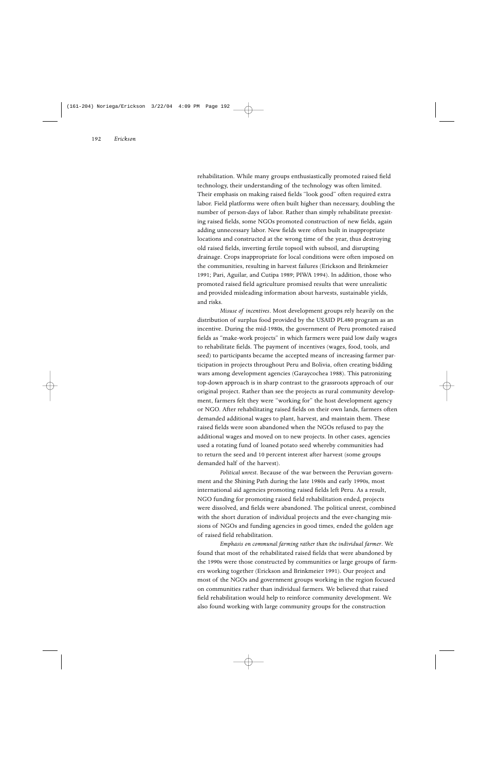rehabilitation. While many groups enthusiastically promoted raised field technology, their understanding of the technology was often limited. Their emphasis on making raised fields "look good" often required extra labor. Field platforms were often built higher than necessary, doubling the number of person-days of labor. Rather than simply rehabilitate preexisting raised fields, some NGOs promoted construction of new fields, again adding unnecessary labor. New fields were often built in inappropriate locations and constructed at the wrong time of the year, thus destroying old raised fields, inverting fertile topsoil with subsoil, and disrupting drainage. Crops inappropriate for local conditions were often imposed on the communities, resulting in harvest failures (Erickson and Brinkmeier 1991; Pari, Aguilar, and Cutipa 1989; PIWA 1994). In addition, those who promoted raised field agriculture promised results that were unrealistic and provided misleading information about harvests, sustainable yields, and risks.

*Misuse of incentives*. Most development groups rely heavily on the distribution of surplus food provided by the USAID PL480 program as an incentive. During the mid-1980s, the government of Peru promoted raised fields as "make-work projects" in which farmers were paid low daily wages to rehabilitate fields. The payment of incentives (wages, food, tools, and seed) to participants became the accepted means of increasing farmer participation in projects throughout Peru and Bolivia, often creating bidding wars among development agencies (Garaycochea 1988). This patronizing top-down approach is in sharp contrast to the grassroots approach of our original project. Rather than see the projects as rural community development, farmers felt they were "working for" the host development agency or NGO. After rehabilitating raised fields on their own lands, farmers often demanded additional wages to plant, harvest, and maintain them. These raised fields were soon abandoned when the NGOs refused to pay the additional wages and moved on to new projects. In other cases, agencies used a rotating fund of loaned potato seed whereby communities had to return the seed and 10 percent interest after harvest (some groups demanded half of the harvest).

*Political unrest*. Because of the war between the Peruvian government and the Shining Path during the late 1980s and early 1990s, most international aid agencies promoting raised fields left Peru. As a result, NGO funding for promoting raised field rehabilitation ended, projects were dissolved, and fields were abandoned. The political unrest, combined with the short duration of individual projects and the ever-changing missions of NGOs and funding agencies in good times, ended the golden age of raised field rehabilitation.

*Emphasis on communal farming rather than the individual farmer*. We found that most of the rehabilitated raised fields that were abandoned by the 1990s were those constructed by communities or large groups of farmers working together (Erickson and Brinkmeier 1991). Our project and most of the NGOs and government groups working in the region focused on communities rather than individual farmers. We believed that raised field rehabilitation would help to reinforce community development. We also found working with large community groups for the construction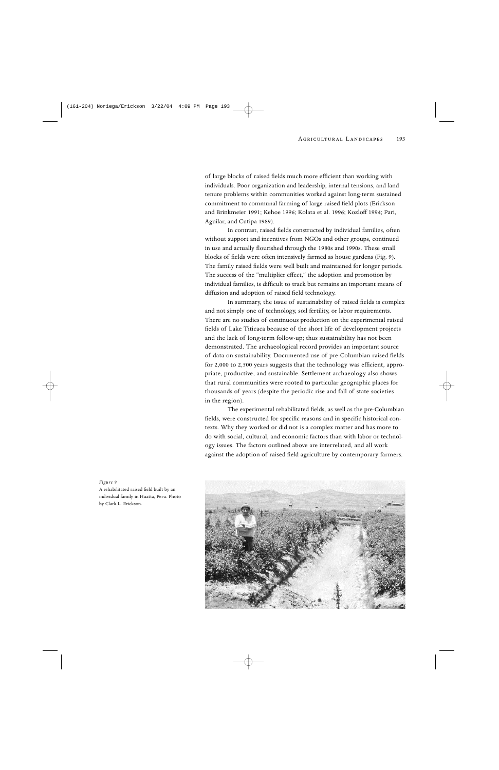of large blocks of raised fields much more efficient than working with individuals. Poor organization and leadership, internal tensions, and land tenure problems within communities worked against long-term sustained commitment to communal farming of large raised field plots (Erickson and Brinkmeier 1991; Kehoe 1996; Kolata et al. 1996; Kozloff 1994; Pari, Aguilar, and Cutipa 1989).

In contrast, raised fields constructed by individual families, often without support and incentives from NGOs and other groups, continued in use and actually flourished through the 1980s and 1990s. These small blocks of fields were often intensively farmed as house gardens (Fig. 9). The family raised fields were well built and maintained for longer periods. The success of the "multiplier effect," the adoption and promotion by individual families, is difficult to track but remains an important means of diffusion and adoption of raised field technology.

In summary, the issue of sustainability of raised fields is complex and not simply one of technology, soil fertility, or labor requirements. There are no studies of continuous production on the experimental raised fields of Lake Titicaca because of the short life of development projects and the lack of long-term follow-up; thus sustainability has not been demonstrated. The archaeological record provides an important source of data on sustainability. Documented use of pre-Columbian raised fields for 2,000 to 2,500 years suggests that the technology was efficient, appropriate, productive, and sustainable. Settlement archaeology also shows that rural communities were rooted to particular geographic places for thousands of years (despite the periodic rise and fall of state societies in the region).

The experimental rehabilitated fields, as well as the pre-Columbian fields, were constructed for specific reasons and in specific historical contexts. Why they worked or did not is a complex matter and has more to do with social, cultural, and economic factors than with labor or technology issues. The factors outlined above are interrelated, and all work against the adoption of raised field agriculture by contemporary farmers.



*Figure 9*

A rehabilitated raised field built by an individual family in Huatta, Peru. Photo by Clark L. Erickson.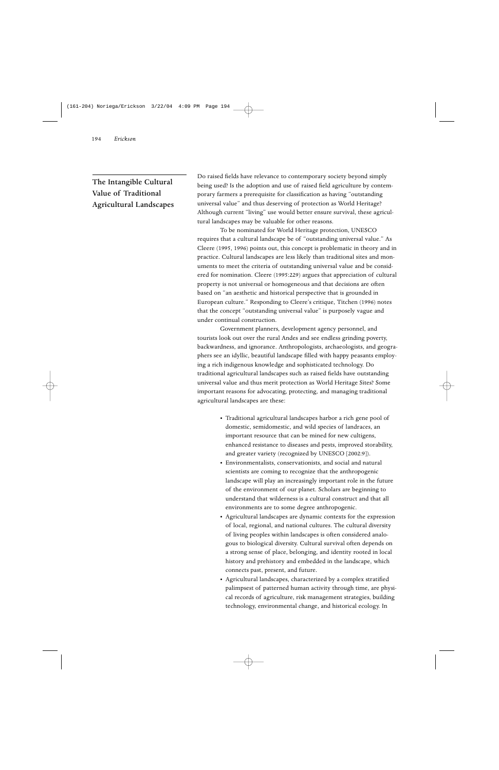## The Intangible Cultural Value of Traditional Agricultural Landscapes

Do raised fields have relevance to contemporary society beyond simply being used? Is the adoption and use of raised field agriculture by contemporary farmers a prerequisite for classification as having "outstanding universal value" and thus deserving of protection as World Heritage? Although current "living" use would better ensure survival, these agricultural landscapes may be valuable for other reasons.

To be nominated for World Heritage protection, UNESCO requires that a cultural landscape be of "outstanding universal value." As Cleere (1995, 1996) points out, this concept is problematic in theory and in practice. Cultural landscapes are less likely than traditional sites and monuments to meet the criteria of outstanding universal value and be considered for nomination. Cleere (1995:229) argues that appreciation of cultural property is not universal or homogeneous and that decisions are often based on "an aesthetic and historical perspective that is grounded in European culture." Responding to Cleere's critique, Titchen (1996) notes that the concept "outstanding universal value" is purposely vague and under continual construction.

Government planners, development agency personnel, and tourists look out over the rural Andes and see endless grinding poverty, backwardness, and ignorance. Anthropologists, archaeologists, and geographers see an idyllic, beautiful landscape filled with happy peasants employing a rich indigenous knowledge and sophisticated technology. Do traditional agricultural landscapes such as raised fields have outstanding universal value and thus merit protection as World Heritage Sites? Some important reasons for advocating, protecting, and managing traditional agricultural landscapes are these:

- Traditional agricultural landscapes harbor a rich gene pool of domestic, semidomestic, and wild species of landraces, an important resource that can be mined for new cultigens, enhanced resistance to diseases and pests, improved storability, and greater variety (recognized by UNESCO [2002:9]).
- Environmentalists, conservationists, and social and natural scientists are coming to recognize that the anthropogenic landscape will play an increasingly important role in the future of the environment of our planet. Scholars are beginning to understand that wilderness is a cultural construct and that all environments are to some degree anthropogenic.
- Agricultural landscapes are dynamic contexts for the expression of local, regional, and national cultures. The cultural diversity of living peoples within landscapes is often considered analogous to biological diversity. Cultural survival often depends on a strong sense of place, belonging, and identity rooted in local history and prehistory and embedded in the landscape, which connects past, present, and future.
- Agricultural landscapes, characterized by a complex stratified palimpsest of patterned human activity through time, are physical records of agriculture, risk management strategies, building technology, environmental change, and historical ecology. In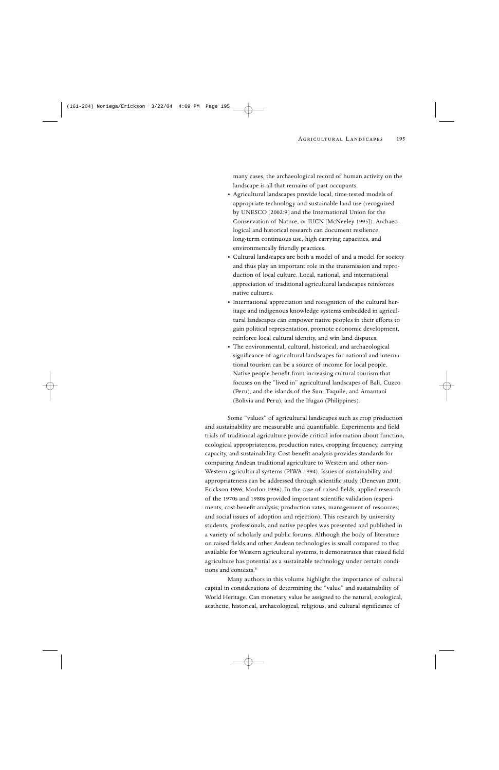many cases, the archaeological record of human activity on the landscape is all that remains of past occupants.

- Agricultural landscapes provide local, time-tested models of appropriate technology and sustainable land use (recognized by UNESCO [2002:9] and the International Union for the Conservation of Nature, or IUCN [McNeeley 1995]). Archaeological and historical research can document resilience, long-term continuous use, high carrying capacities, and environmentally friendly practices.
- Cultural landscapes are both a model of and a model for society and thus play an important role in the transmission and reproduction of local culture. Local, national, and international appreciation of traditional agricultural landscapes reinforces native cultures.
- International appreciation and recognition of the cultural heritage and indigenous knowledge systems embedded in agricultural landscapes can empower native peoples in their efforts to gain political representation, promote economic development, reinforce local cultural identity, and win land disputes.
- The environmental, cultural, historical, and archaeological significance of agricultural landscapes for national and international tourism can be a source of income for local people. Native people benefit from increasing cultural tourism that focuses on the "lived in" agricultural landscapes of Bali, Cuzco (Peru), and the islands of the Sun, Taquile, and Amantaní (Bolivia and Peru), and the Ifugao (Philippines).

Some "values" of agricultural landscapes such as crop production and sustainability are measurable and quantifiable. Experiments and field trials of traditional agriculture provide critical information about function, ecological appropriateness, production rates, cropping frequency, carrying capacity, and sustainability. Cost-benefit analysis provides standards for comparing Andean traditional agriculture to Western and other non-Western agricultural systems (PIWA 1994). Issues of sustainability and appropriateness can be addressed through scientific study (Denevan 2001; Erickson 1996; Morlon 1996). In the case of raised fields, applied research of the 1970s and 1980s provided important scientific validation (experiments, cost-benefit analysis; production rates, management of resources, and social issues of adoption and rejection). This research by university students, professionals, and native peoples was presented and published in a variety of scholarly and public forums. Although the body of literature on raised fields and other Andean technologies is small compared to that available for Western agricultural systems, it demonstrates that raised field agriculture has potential as a sustainable technology under certain conditions and contexts.8

Many authors in this volume highlight the importance of cultural capital in considerations of determining the "value" and sustainability of World Heritage. Can monetary value be assigned to the natural, ecological, aesthetic, historical, archaeological, religious, and cultural significance of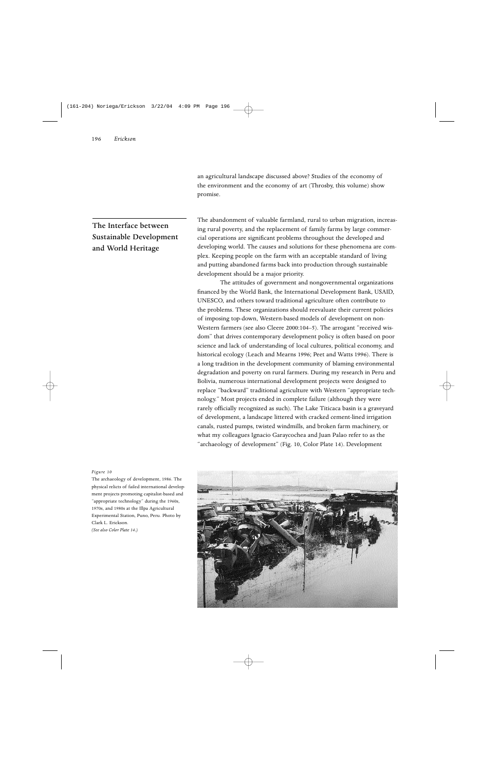an agricultural landscape discussed above? Studies of the economy of the environment and the economy of art (Throsby, this volume) show promise.

# The Interface between Sustainable Development and World Heritage

The abandonment of valuable farmland, rural to urban migration, increasing rural poverty, and the replacement of family farms by large commercial operations are significant problems throughout the developed and developing world. The causes and solutions for these phenomena are complex. Keeping people on the farm with an acceptable standard of living and putting abandoned farms back into production through sustainable development should be a major priority.

The attitudes of government and nongovernmental organizations financed by the World Bank, the International Development Bank, USAID, UNESCO, and others toward traditional agriculture often contribute to the problems. These organizations should reevaluate their current policies of imposing top-down, Western-based models of development on non-Western farmers (see also Cleere 2000:104–5). The arrogant "received wisdom" that drives contemporary development policy is often based on poor science and lack of understanding of local cultures, political economy, and historical ecology (Leach and Mearns 1996; Peet and Watts 1996). There is a long tradition in the development community of blaming environmental degradation and poverty on rural farmers. During my research in Peru and Bolivia, numerous international development projects were designed to replace "backward" traditional agriculture with Western "appropriate technology." Most projects ended in complete failure (although they were rarely officially recognized as such). The Lake Titicaca basin is a graveyard of development, a landscape littered with cracked cement-lined irrigation canals, rusted pumps, twisted windmills, and broken farm machinery, or what my colleagues Ignacio Garaycochea and Juan Palao refer to as the "archaeology of development" (Fig. 10, Color Plate 14). Development

#### *Figure 10*

The archaeology of development, 1986. The physical relicts of failed international development projects promoting capitalist-based and "appropriate technology" during the 1960s, 1970s, and 1980s at the Illpa Agricultural Experimental Station, Puno, Peru. Photo by Clark L. Erickson. *(See also Color Plate 14.)*

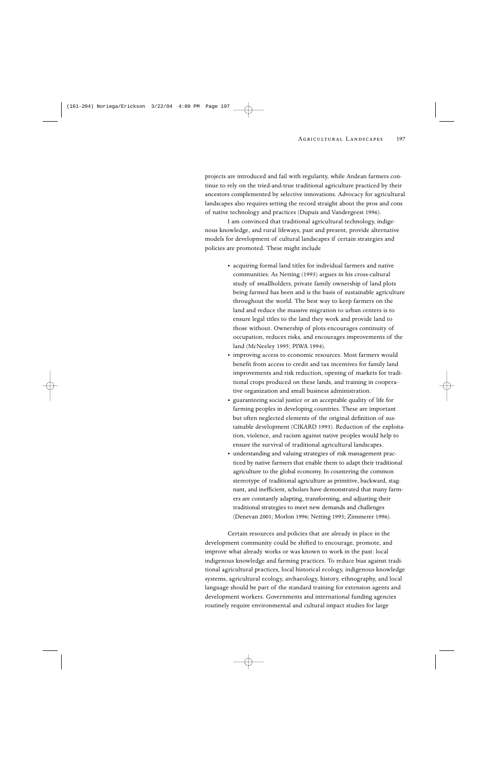projects are introduced and fail with regularity, while Andean farmers continue to rely on the tried-and-true traditional agriculture practiced by their ancestors complemented by selective innovations. Advocacy for agricultural landscapes also requires setting the record straight about the pros and cons of native technology and practices (Dupuis and Vandergeest 1996).

I am convinced that traditional agricultural technology, indigenous knowledge, and rural lifeways, past and present, provide alternative models for development of cultural landscapes if certain strategies and policies are promoted. These might include

- acquiring formal land titles for individual farmers and native communities. As Netting (1993) argues in his cross-cultural study of smallholders, private family ownership of land plots being farmed has been and is the basis of sustainable agriculture throughout the world. The best way to keep farmers on the land and reduce the massive migration to urban centers is to ensure legal titles to the land they work and provide land to those without. Ownership of plots encourages continuity of occupation, reduces risks, and encourages improvements of the land (McNeeley 1995; PIWA 1994).
- improving access to economic resources. Most farmers would benefit from access to credit and tax incentives for family land improvements and risk reduction, opening of markets for traditional crops produced on these lands, and training in cooperative organization and small business administration.
- guaranteeing social justice or an acceptable quality of life for farming peoples in developing countries. These are important but often neglected elements of the original definition of sustainable development (CIKARD 1993). Reduction of the exploitation, violence, and racism against native peoples would help to ensure the survival of traditional agricultural landscapes.
- understanding and valuing strategies of risk management practiced by native farmers that enable them to adapt their traditional agriculture to the global economy. In countering the common stereotype of traditional agriculture as primitive, backward, stagnant, and inefficient, scholars have demonstrated that many farmers are constantly adapting, transforming, and adjusting their traditional strategies to meet new demands and challenges (Denevan 2001; Morlon 1996; Netting 1993; Zimmerer 1996).

Certain resources and policies that are already in place in the development community could be shifted to encourage, promote, and improve what already works or was known to work in the past: local indigenous knowledge and farming practices. To reduce bias against traditional agricultural practices, local historical ecology, indigenous knowledge systems, agricultural ecology, archaeology, history, ethnography, and local language should be part of the standard training for extension agents and development workers. Governments and international funding agencies routinely require environmental and cultural impact studies for large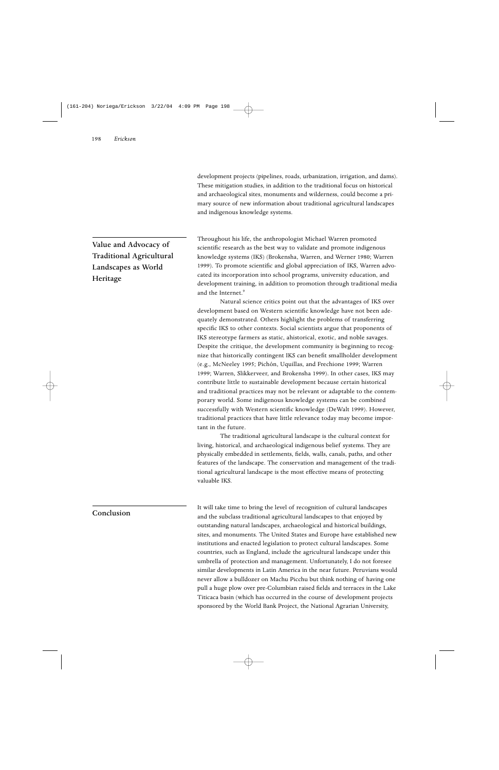development projects (pipelines, roads, urbanization, irrigation, and dams). These mitigation studies, in addition to the traditional focus on historical and archaeological sites, monuments and wilderness, could become a primary source of new information about traditional agricultural landscapes and indigenous knowledge systems.

Value and Advocacy of Traditional Agricultural Landscapes as World Heritage

Throughout his life, the anthropologist Michael Warren promoted scientific research as the best way to validate and promote indigenous knowledge systems (IKS) (Brokensha, Warren, and Werner 1980; Warren 1999). To promote scientific and global appreciation of IKS, Warren advocated its incorporation into school programs, university education, and development training, in addition to promotion through traditional media and the Internet.<sup>9</sup>

Natural science critics point out that the advantages of IKS over development based on Western scientific knowledge have not been adequately demonstrated. Others highlight the problems of transferring specific IKS to other contexts. Social scientists argue that proponents of IKS stereotype farmers as static, ahistorical, exotic, and noble savages. Despite the critique, the development community is beginning to recognize that historically contingent IKS can benefit smallholder development (e.g., McNeeley 1995; Pichón, Uquillas, and Frechione 1999; Warren 1999; Warren, Slikkerveer, and Brokensha 1999). In other cases, IKS may contribute little to sustainable development because certain historical and traditional practices may not be relevant or adaptable to the contemporary world. Some indigenous knowledge systems can be combined successfully with Western scientific knowledge (DeWalt 1999). However, traditional practices that have little relevance today may become important in the future.

The traditional agricultural landscape is the cultural context for living, historical, and archaeological indigenous belief systems. They are physically embedded in settlements, fields, walls, canals, paths, and other features of the landscape. The conservation and management of the traditional agricultural landscape is the most effective means of protecting valuable IKS.

It will take time to bring the level of recognition of cultural landscapes and the subclass traditional agricultural landscapes to that enjoyed by outstanding natural landscapes, archaeological and historical buildings, sites, and monuments. The United States and Europe have established new institutions and enacted legislation to protect cultural landscapes. Some countries, such as England, include the agricultural landscape under this umbrella of protection and management. Unfortunately, I do not foresee similar developments in Latin America in the near future. Peruvians would never allow a bulldozer on Machu Picchu but think nothing of having one pull a huge plow over pre-Columbian raised fields and terraces in the Lake Titicaca basin (which has occurred in the course of development projects sponsored by the World Bank Project, the National Agrarian University,

### Conclusion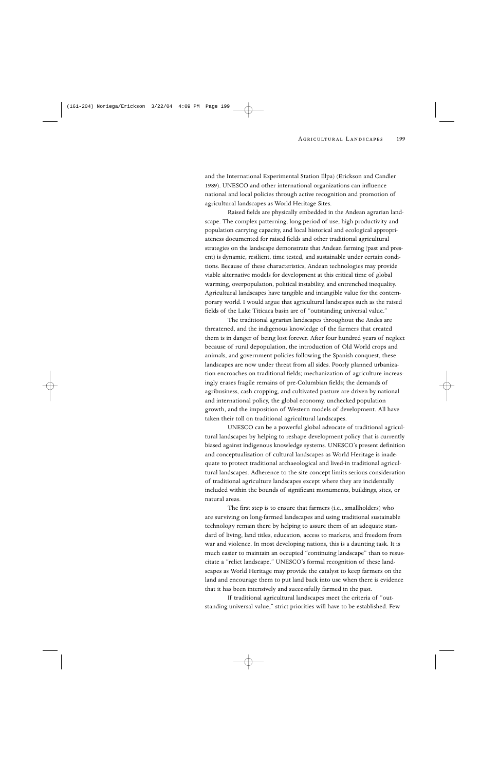and the International Experimental Station Illpa) (Erickson and Candler 1989). UNESCO and other international organizations can influence national and local policies through active recognition and promotion of agricultural landscapes as World Heritage Sites.

Raised fields are physically embedded in the Andean agrarian landscape. The complex patterning, long period of use, high productivity and population carrying capacity, and local historical and ecological appropriateness documented for raised fields and other traditional agricultural strategies on the landscape demonstrate that Andean farming (past and present) is dynamic, resilient, time tested, and sustainable under certain conditions. Because of these characteristics, Andean technologies may provide viable alternative models for development at this critical time of global warming, overpopulation, political instability, and entrenched inequality. Agricultural landscapes have tangible and intangible value for the contemporary world. I would argue that agricultural landscapes such as the raised fields of the Lake Titicaca basin are of "outstanding universal value."

The traditional agrarian landscapes throughout the Andes are threatened, and the indigenous knowledge of the farmers that created them is in danger of being lost forever. After four hundred years of neglect because of rural depopulation, the introduction of Old World crops and animals, and government policies following the Spanish conquest, these landscapes are now under threat from all sides. Poorly planned urbanization encroaches on traditional fields; mechanization of agriculture increasingly erases fragile remains of pre-Columbian fields; the demands of agribusiness, cash cropping, and cultivated pasture are driven by national and international policy, the global economy, unchecked population growth, and the imposition of Western models of development. All have taken their toll on traditional agricultural landscapes.

UNESCO can be a powerful global advocate of traditional agricultural landscapes by helping to reshape development policy that is currently biased against indigenous knowledge systems. UNESCO's present definition and conceptualization of cultural landscapes as World Heritage is inadequate to protect traditional archaeological and lived-in traditional agricultural landscapes. Adherence to the site concept limits serious consideration of traditional agriculture landscapes except where they are incidentally included within the bounds of significant monuments, buildings, sites, or natural areas.

The first step is to ensure that farmers (i.e., smallholders) who are surviving on long-farmed landscapes and using traditional sustainable technology remain there by helping to assure them of an adequate standard of living, land titles, education, access to markets, and freedom from war and violence. In most developing nations, this is a daunting task. It is much easier to maintain an occupied "continuing landscape" than to resuscitate a "relict landscape." UNESCO's formal recognition of these landscapes as World Heritage may provide the catalyst to keep farmers on the land and encourage them to put land back into use when there is evidence that it has been intensively and successfully farmed in the past.

If traditional agricultural landscapes meet the criteria of "outstanding universal value," strict priorities will have to be established. Few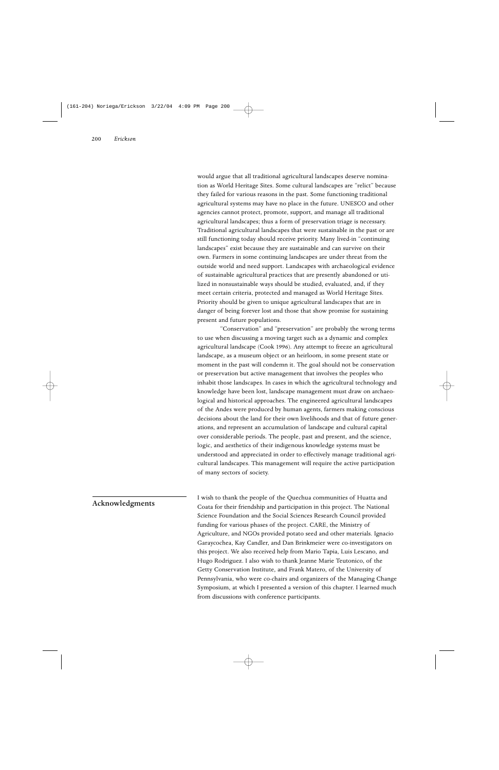would argue that all traditional agricultural landscapes deserve nomination as World Heritage Sites. Some cultural landscapes are "relict" because they failed for various reasons in the past. Some functioning traditional agricultural systems may have no place in the future. UNESCO and other agencies cannot protect, promote, support, and manage all traditional agricultural landscapes; thus a form of preservation triage is necessary. Traditional agricultural landscapes that were sustainable in the past or are still functioning today should receive priority. Many lived-in "continuing landscapes" exist because they are sustainable and can survive on their own. Farmers in some continuing landscapes are under threat from the outside world and need support. Landscapes with archaeological evidence of sustainable agricultural practices that are presently abandoned or utilized in nonsustainable ways should be studied, evaluated, and, if they meet certain criteria, protected and managed as World Heritage Sites. Priority should be given to unique agricultural landscapes that are in danger of being forever lost and those that show promise for sustaining present and future populations.

"Conservation" and "preservation" are probably the wrong terms to use when discussing a moving target such as a dynamic and complex agricultural landscape (Cook 1996). Any attempt to freeze an agricultural landscape, as a museum object or an heirloom, in some present state or moment in the past will condemn it. The goal should not be conservation or preservation but active management that involves the peoples who inhabit those landscapes. In cases in which the agricultural technology and knowledge have been lost, landscape management must draw on archaeological and historical approaches. The engineered agricultural landscapes of the Andes were produced by human agents, farmers making conscious decisions about the land for their own livelihoods and that of future generations, and represent an accumulation of landscape and cultural capital over considerable periods. The people, past and present, and the science, logic, and aesthetics of their indigenous knowledge systems must be understood and appreciated in order to effectively manage traditional agricultural landscapes. This management will require the active participation of many sectors of society.

### Acknowledgments

I wish to thank the people of the Quechua communities of Huatta and Coata for their friendship and participation in this project. The National Science Foundation and the Social Sciences Research Council provided funding for various phases of the project. CARE, the Ministry of Agriculture, and NGOs provided potato seed and other materials. Ignacio Garaycochea, Kay Candler, and Dan Brinkmeier were co-investigators on this project. We also received help from Mario Tapia, Luis Lescano, and Hugo Rodriguez. I also wish to thank Jeanne Marie Teutonico, of the Getty Conservation Institute, and Frank Matero, of the University of Pennsylvania, who were co-chairs and organizers of the Managing Change Symposium, at which I presented a version of this chapter. I learned much from discussions with conference participants.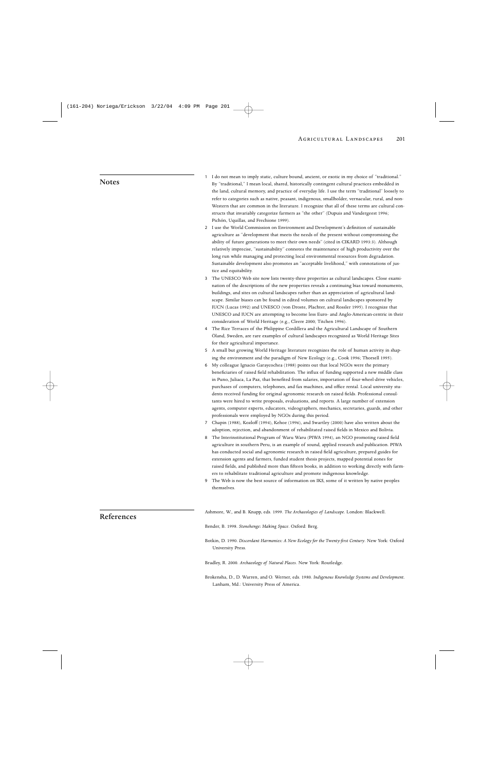#### Notes

- 1 I do not mean to imply static, culture bound, ancient, or exotic in my choice of "traditional." By "traditional," I mean local, shared, historically contingent cultural practices embedded in the land, cultural memory, and practice of everyday life. I use the term "traditional" loosely to refer to categories such as native, peasant, indigenous, smallholder, vernacular, rural, and non-Western that are common in the literature. I recognize that all of these terms are cultural constructs that invariably categorize farmers as "the other" (Dupuis and Vandergeest 1996; Pichón, Uquillas, and Frechione 1999).
- 2 I use the World Commission on Environment and Development's definition of sustainable agriculture as "development that meets the needs of the present without compromising the ability of future generations to meet their own needs" (cited in CIKARD 1993:3). Although relatively imprecise, "sustainability" connotes the maintenance of high productivity over the long run while managing and protecting local environmental resources from degradation. Sustainable development also promotes an "acceptable livelihood," with connotations of justice and equitability.
- 3 The UNESCO Web site now lists twenty-three properties as cultural landscapes. Close examination of the descriptions of the new properties reveals a continuing bias toward monuments, buildings, and sites on cultural landscapes rather than an appreciation of agricultural landscape. Similar biases can be found in edited volumes on cultural landscapes sponsored by IUCN (Lucas 1992) and UNESCO (von Droste, Plachter, and Rossler 1995). I recognize that UNESCO and IUCN are attempting to become less Euro- and Anglo-American-centric in their consideration of World Heritage (e.g., Cleere 2000; Titchen 1996).
- 4 The Rice Terraces of the Philippine Cordillera and the Agricultural Landscape of Southern Öland, Sweden, are rare examples of cultural landscapes recognized as World Heritage Sites for their agricultural importance.
- 5 A small but growing World Heritage literature recognizes the role of human activity in shaping the environment and the paradigm of New Ecology (e.g., Cook 1996; Thorsell 1995).
- 6 My colleague Ignacio Garaycochea (1988) points out that local NGOs were the primary beneficiaries of raised field rehabilitation. The influx of funding supported a new middle class in Puno, Juliaca, La Paz, that benefited from salaries, importation of four-wheel-drive vehicles, purchases of computers, telephones, and fax machines, and office rental. Local university students received funding for original agronomic research on raised fields. Professional consultants were hired to write proposals, evaluations, and reports. A large number of extension agents, computer experts, educators, videographers, mechanics, secretaries, guards, and other professionals were employed by NGOs during this period.
- 7 Chapin (1988), Kozloff (1994), Kehoe (1996), and Swartley (2000) have also written about the adoption, rejection, and abandonment of rehabilitated raised fields in Mexico and Bolivia.
- 8 The Interinstitutional Program of Waru Waru (PIWA 1994), an NGO promoting raised field agriculture in southern Peru, is an example of sound, applied research and publication. PIWA has conducted social and agronomic research in raised field agriculture, prepared guides for extension agents and farmers, funded student thesis projects, mapped potential zones for raised fields, and published more than fifteen books, in addition to working directly with farmers to rehabilitate traditional agriculture and promote indigenous knowledge.
- 9 The Web is now the best source of information on IKS, some of it written by native peoples themselves.

Ashmore, W., and B. Knapp, eds. 1999. *The Archaeologies of Landscape*. London: Blackwell.

Bender, B. 1998. *Stonehenge: Making Space*. Oxford: Berg.

Botkin, D. 1990. *Discordant Harmonies: A New Ecology for the Twenty-first Century*. New York: Oxford University Press.

Bradley, R. 2000. *Archaeology of Natural Places*. New York: Routledge.

Brokensha, D., D. Warren, and O. Werner, eds. 1980. *Indigenous Knowledge Systems and Development*. Lanham, Md.: University Press of America.

## References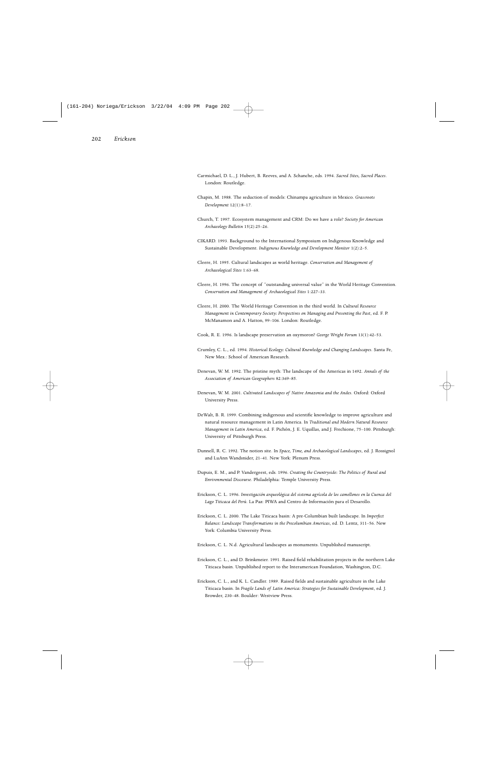- Carmichael, D. L., J. Hubert, B. Reeves, and A. Schanche, eds. 1994. *Sacred Sites, Sacred Places*. London: Routledge.
- Chapin, M. 1988. The seduction of models: Chinampa agriculture in Mexico. *Grassroots Development* 12(1):8–17.
- Church, T. 1997. Ecosystem management and CRM: Do we have a role? *Society for American Archaeology Bulletin* 15(2):25–26.
- CIKARD. 1993. Background to the International Symposium on Indigenous Knowledge and Sustainable Development. *Indigenous Knowledge and Development Monitor* 1(2):2–5.
- Cleere, H. 1995. Cultural landscapes as world heritage. *Conservation and Management of Archaeological Sites* 1:63–68.
- Cleere, H. 1996. The concept of "outstanding universal value" in the World Heritage Convention. *Conservation and Management of Archaeological Sites* 1:227–33.
- Cleere, H. 2000. The World Heritage Convention in the third world. In *Cultural Resource Management in Contemporary Society: Perspectives on Managing and Presenting the Past*, ed. F. P. McManamon and A. Hatton, 99–106. London: Routledge.
- Cook, R. E. 1996. Is landscape preservation an oxymoron? *George Wright Forum* 13(1):42–53.
- Crumley, C. L., ed. 1994. *Historical Ecology: Cultural Knowledge and Changing Landscapes*. Santa Fe, New Mex.: School of American Research.
- Denevan, W. M. 1992. The pristine myth: The landscape of the Americas in 1492. *Annals of the Association of American Geographers* 82:369–85.
- Denevan, W. M. 2001. *Cultivated Landscapes of Native Amazonia and the Andes*. Oxford: Oxford University Press.
- DeWalt, B. R. 1999. Combining indigenous and scientific knowledge to improve agriculture and natural resource management in Latin America. In *Traditional and Modern Natural Resource Management in Latin America*, ed. F. Pichón, J. E. Uquillas, and J. Frechione, 75–100. Pittsburgh: University of Pittsburgh Press.
- Dunnell, R. C. 1992. The notion site. In *Space, Time, and Archaeological Landscapes*, ed. J. Rossignol and LuAnn Wandsnider, 21–41. New York: Plenum Press.
- Dupuis, E. M., and P. Vandergeest, eds. 1996. *Creating the Countryside: The Politics of Rural and Environmental Discourse*. Philadelphia: Temple University Press.
- Erickson, C. L. 1996. *Investigación arqueológica del sistema agrícola de los camellones en la Cuenca del Lago Titicaca del Perú*. La Paz: PIWA and Centro de Información para el Desarollo.
- Erickson, C. L. 2000. The Lake Titicaca basin: A pre-Columbian built landscape. In *Imperfect Balance: Landscape Transformations in the Precolumbian Americas*, ed. D. Lentz, 311–56. New York: Columbia University Press.
- Erickson, C. L. N.d. Agricultural landscapes as monuments. Unpublished manuscript.
- Erickson, C. L., and D. Brinkmeier. 1991. Raised field rehabilitation projects in the northern Lake Titicaca basin. Unpublished report to the Interamerican Foundation, Washington, D.C.
- Erickson, C. L., and K. L. Candler. 1989. Raised fields and sustainable agriculture in the Lake Titicaca basin. In *Fragile Lands of Latin America: Strategies for Sustainable Development*, ed. J. Browder, 230–48. Boulder: Westview Press.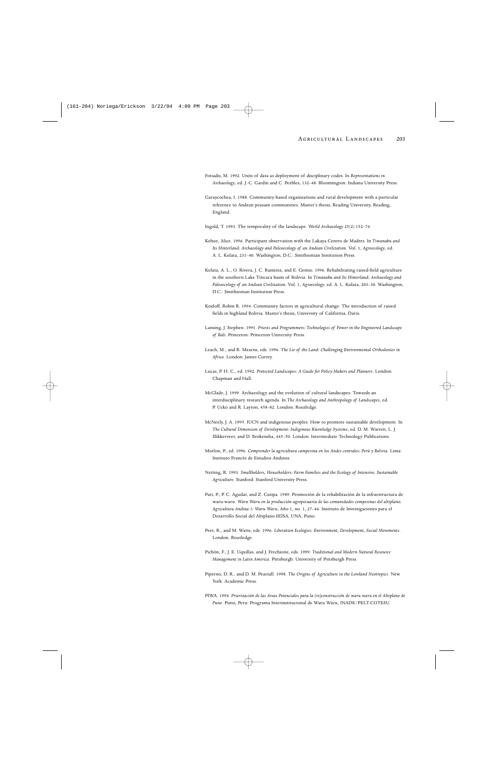- Fotiadis, M. 1992. Units of data as deployment of disciplinary codes. In *Representations in Archaeology*, ed. J.-C. Gardin and C. Peebles, 132–48. Bloomington: Indiana University Press.
- Garaycochea, I. 1988. Community-based organizations and rural development with a particular reference to Andean peasant communities. Master's thesis, Reading University, Reading, England.
- Ingold, T. 1993. The temporality of the landscape. *World Archaeology* 25(2):152–74.
- Kehoe, Alice. 1996. Participant observation with the Lakaya Centro de Madres. In *Tiwanaku and Its Hinterland: Archaeology and Paleoecology of an Andean Civilization*. Vol. 1, *Agroecology*, ed. A. L. Kolata, 231–40. Washington, D.C.: Smithsonian Institution Press.
- Kolata, A. L., O. Rivera, J. C. Ramirez, and E. Gemio. 1996. Rehabilitating raised-field agriculture in the southern Lake Titicaca basin of Bolivia. In *Tiwanaku and Its Hinterland: Archaeology and Paleoecology of an Andean Civilization*. Vol. 1, *Agroecology*, ed. A. L. Kolata, 203–30. Washington, D.C.: Smithsonian Institution Press.
- Kozloff, Robin R. 1994. Community factors in agricultural change: The introduction of raised fields in highland Bolivia. Master's thesis, University of California, Davis.
- Lansing, J. Stephen. 1991. *Priests and Programmers: Technologies of Power in the Engineered Landscape of Bali*. Princeton: Princeton University Press.
- Leach, M., and R. Mearns, eds. 1996. *The Lie of the Land: Challenging Environmental Orthodoxies in Africa*. London: James Currey.
- Lucas, P. H. C., ed. 1992. *Protected Landscapes: A Guide for Policy-Makers and Planners*. London: Chapman and Hall.
- McGlade, J. 1999. Archaeology and the evolution of cultural landscapes: Towards an interdisciplinary research agenda. In *The Archaeology and Anthropology of Landscapes*, ed. P. Ucko and R. Layton, 458–82. London: Routledge.
- McNeely, J. A. 1995. IUCN and indigenous peoples: How to promote sustainable development. In *The Cultural Dimension of Development: Indigenous Knowledge Systems*, ed. D. M. Warren, L. J. Slikkerveer, and D. Brokensha, 445–50. London: Intermediate Technology Publications.
- Morlon, P., ed. 1996. *Comprender la agricultura campesina en los Andes centrales: Perú y Bolivia*. Lima: Instituto Francés de Estudios Andinos.
- Netting, R. 1993. *Smallholders, Householders: Farm Families and the Ecology of Intensive, Sustainable Agriculture*. Stanford: Stanford University Press.
- Pari, P., P. C. Aguilar, and Z. Cutipa. 1989. Promoción de la rehabilitación de la infraestructura de waru-waru. *Waru Waru en la producción agropecuaria de las comunidades compesinas del altiplano. Agricultura Andina 1: Waru Waru*, Año 1, no. 1, 27–46. Instituto de Investigaciones para el Desarrollo Social del Altiplano-IIDSA, UNA, Puno.
- Peet, R., and M. Watts, eds. 1996. *Liberation Ecologies: Environment, Development, Social Movements*. London. Routledge.
- Pichón, F., J. E. Uquillas, and J. Frechione, eds. 1999. *Traditional and Modern Natural Resource Management in Latin America*. Pittsburgh: University of Pittsburgh Press.
- Piperno, D. R., and D. M. Pearsall. 1998. *The Origins of Agriculture in the Lowland Neotropics*. New York: Academic Press.
- PIWA. 1994. *Priorización de las Areas Potenciales para la (re)construcción de waru waru en el Altiplano de Puno*. Puno, Peru: Programa Interinstitucional de Waru Waru, INADE/PELT-COTESU.